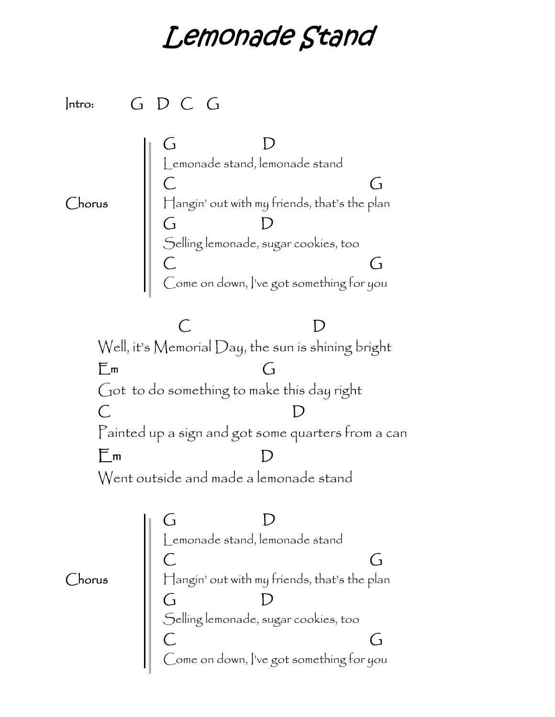## *Lemonade Stand*

**Intro: G D C G G D** Lemonade stand, lemonade stand **C G Chorus** Hangin' out with my friends, that's the plan **G D** Selling lemonade, sugar cookies, too **C G** Come on down, I've got something for you **C D** Well, it's Memorial Day, the sun is shining bright **Em G** Got to do something to make this day right **C D** Painted up a sign and got some quarters from a can **Em D** Went outside and made a lemonade stand **G D** Lemonade stand, lemonade stand **C G Chorus** Hangin' out with my friends, that's the plan **G D** Selling lemonade, sugar cookies, too **C G** Come on down, I've got something for you